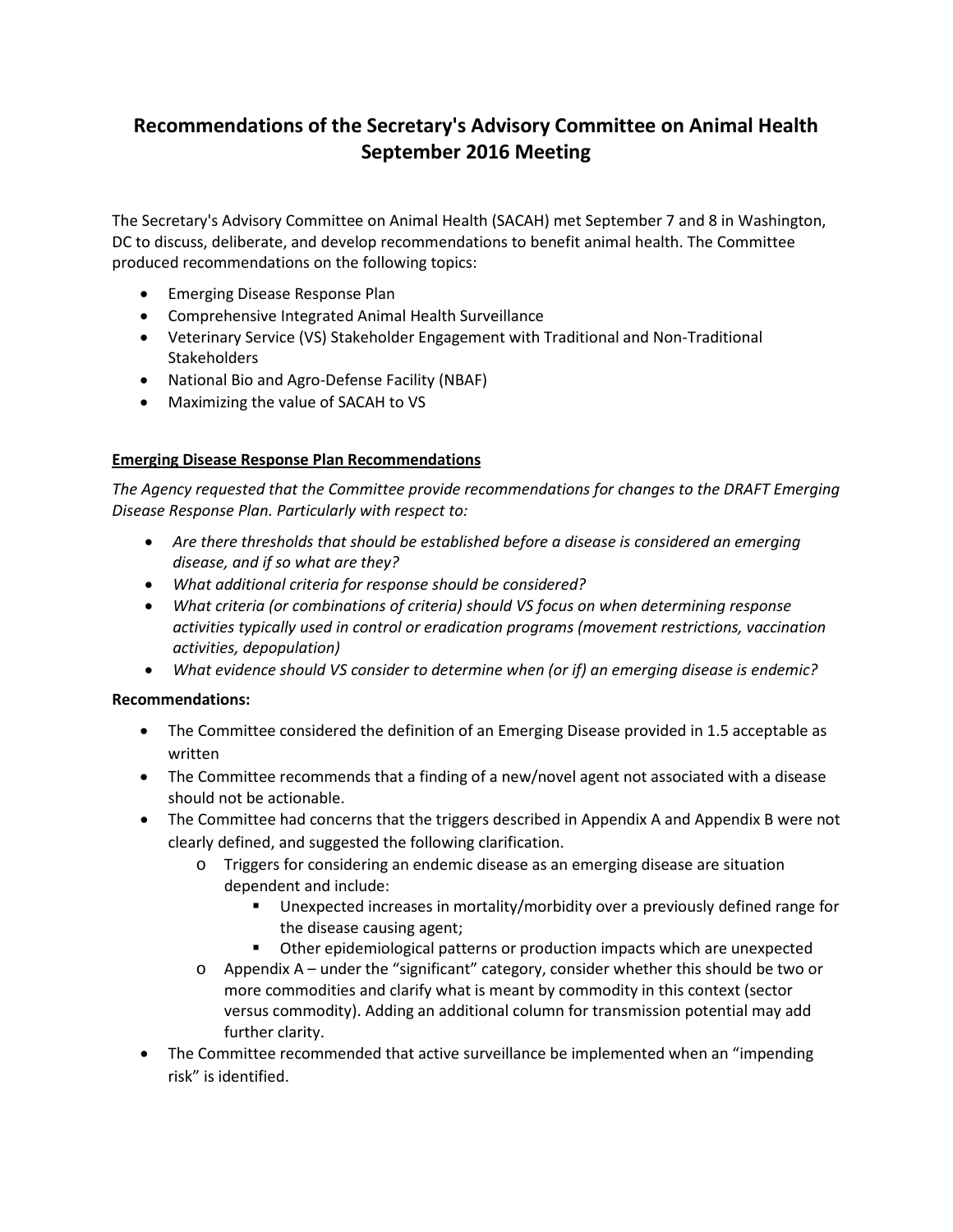# **Recommendations of the Secretary's Advisory Committee on Animal Health September 2016 Meeting**

The Secretary's Advisory Committee on Animal Health (SACAH) met September 7 and 8 in Washington, DC to discuss, deliberate, and develop recommendations to benefit animal health. The Committee produced recommendations on the following topics:

- Emerging Disease Response Plan
- Comprehensive Integrated Animal Health Surveillance
- Veterinary Service (VS) Stakeholder Engagement with Traditional and Non-Traditional **Stakeholders**
- National Bio and Agro-Defense Facility (NBAF)
- Maximizing the value of SACAH to VS

# **Emerging Disease Response Plan Recommendations**

*The Agency requested that the Committee provide recommendations for changes to the DRAFT Emerging Disease Response Plan. Particularly with respect to:*

- *Are there thresholds that should be established before a disease is considered an emerging disease, and if so what are they?*
- *What additional criteria for response should be considered?*
- *What criteria (or combinations of criteria) should VS focus on when determining response activities typically used in control or eradication programs (movement restrictions, vaccination activities, depopulation)*
- *What evidence should VS consider to determine when (or if) an emerging disease is endemic?*

- The Committee considered the definition of an Emerging Disease provided in 1.5 acceptable as written
- The Committee recommends that a finding of a new/novel agent not associated with a disease should not be actionable.
- The Committee had concerns that the triggers described in Appendix A and Appendix B were not clearly defined, and suggested the following clarification.
	- o Triggers for considering an endemic disease as an emerging disease are situation dependent and include:
		- Unexpected increases in mortality/morbidity over a previously defined range for the disease causing agent;
		- Other epidemiological patterns or production impacts which are unexpected
	- $\circ$  Appendix A under the "significant" category, consider whether this should be two or more commodities and clarify what is meant by commodity in this context (sector versus commodity). Adding an additional column for transmission potential may add further clarity.
- The Committee recommended that active surveillance be implemented when an "impending" risk" is identified.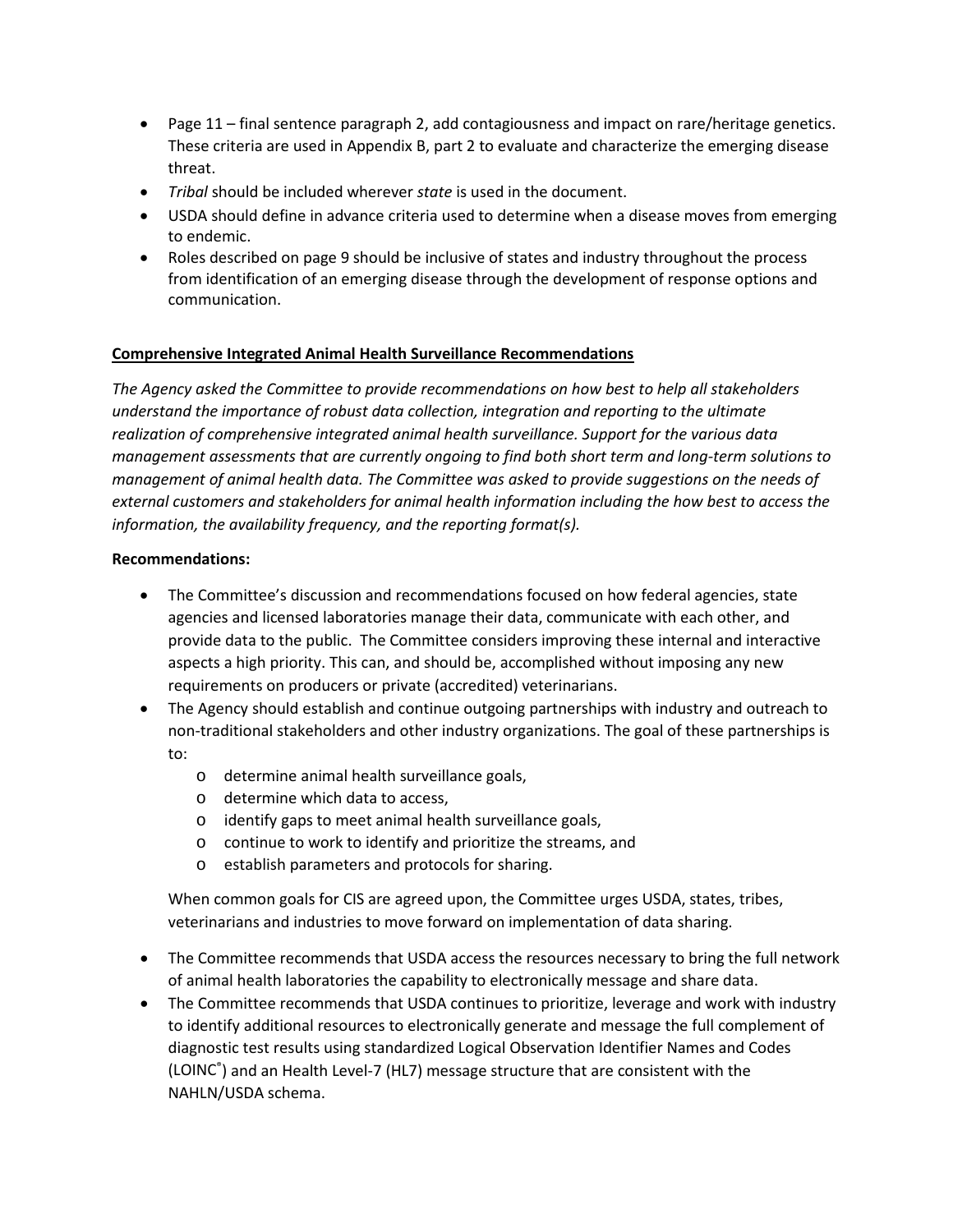- Page 11 final sentence paragraph 2, add contagiousness and impact on rare/heritage genetics. These criteria are used in Appendix B, part 2 to evaluate and characterize the emerging disease threat.
- *Tribal* should be included wherever *state* is used in the document.
- USDA should define in advance criteria used to determine when a disease moves from emerging to endemic.
- Roles described on page 9 should be inclusive of states and industry throughout the process from identification of an emerging disease through the development of response options and communication.

# **Comprehensive Integrated Animal Health Surveillance Recommendations**

*The Agency asked the Committee to provide recommendations on how best to help all stakeholders understand the importance of robust data collection, integration and reporting to the ultimate realization of comprehensive integrated animal health surveillance. Support for the various data management assessments that are currently ongoing to find both short term and long-term solutions to management of animal health data. The Committee was asked to provide suggestions on the needs of external customers and stakeholders for animal health information including the how best to access the information, the availability frequency, and the reporting format(s).*

### **Recommendations:**

- The Committee's discussion and recommendations focused on how federal agencies, state agencies and licensed laboratories manage their data, communicate with each other, and provide data to the public. The Committee considers improving these internal and interactive aspects a high priority. This can, and should be, accomplished without imposing any new requirements on producers or private (accredited) veterinarians.
- The Agency should establish and continue outgoing partnerships with industry and outreach to non-traditional stakeholders and other industry organizations. The goal of these partnerships is to:
	- o determine animal health surveillance goals,
	- o determine which data to access,
	- o identify gaps to meet animal health surveillance goals,
	- o continue to work to identify and prioritize the streams, and
	- o establish parameters and protocols for sharing.

When common goals for CIS are agreed upon, the Committee urges USDA, states, tribes, veterinarians and industries to move forward on implementation of data sharing.

- The Committee recommends that USDA access the resources necessary to bring the full network of animal health laboratories the capability to electronically message and share data.
- The Committee recommends that USDA continues to prioritize, leverage and work with industry to identify additional resources to electronically generate and message the full complement of diagnostic test results using standardized Logical Observation Identifier Names and Codes (LOINC® ) and an Health Level-7 (HL7) message structure that are consistent with the NAHLN/USDA schema.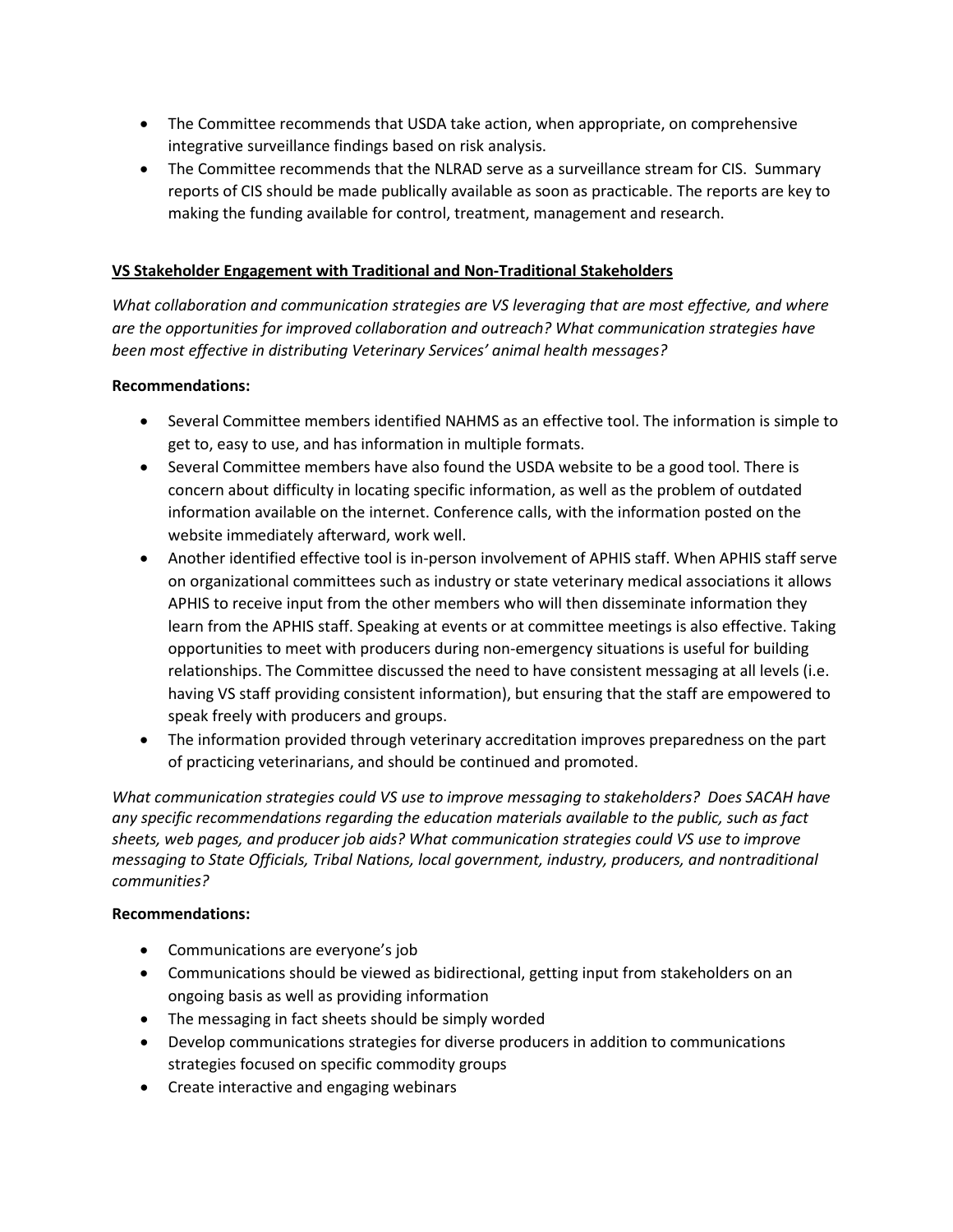- The Committee recommends that USDA take action, when appropriate, on comprehensive integrative surveillance findings based on risk analysis.
- The Committee recommends that the NLRAD serve as a surveillance stream for CIS. Summary reports of CIS should be made publically available as soon as practicable. The reports are key to making the funding available for control, treatment, management and research.

# **VS Stakeholder Engagement with Traditional and Non-Traditional Stakeholders**

*What collaboration and communication strategies are VS leveraging that are most effective, and where are the opportunities for improved collaboration and outreach? What communication strategies have been most effective in distributing Veterinary Services' animal health messages?*

# **Recommendations:**

- Several Committee members identified NAHMS as an effective tool. The information is simple to get to, easy to use, and has information in multiple formats.
- Several Committee members have also found the USDA website to be a good tool. There is concern about difficulty in locating specific information, as well as the problem of outdated information available on the internet. Conference calls, with the information posted on the website immediately afterward, work well.
- Another identified effective tool is in-person involvement of APHIS staff. When APHIS staff serve on organizational committees such as industry or state veterinary medical associations it allows APHIS to receive input from the other members who will then disseminate information they learn from the APHIS staff. Speaking at events or at committee meetings is also effective. Taking opportunities to meet with producers during non-emergency situations is useful for building relationships. The Committee discussed the need to have consistent messaging at all levels (i.e. having VS staff providing consistent information), but ensuring that the staff are empowered to speak freely with producers and groups.
- The information provided through veterinary accreditation improves preparedness on the part of practicing veterinarians, and should be continued and promoted.

*What communication strategies could VS use to improve messaging to stakeholders? Does SACAH have any specific recommendations regarding the education materials available to the public, such as fact sheets, web pages, and producer job aids? What communication strategies could VS use to improve messaging to State Officials, Tribal Nations, local government, industry, producers, and nontraditional communities?*

- Communications are everyone's job
- Communications should be viewed as bidirectional, getting input from stakeholders on an ongoing basis as well as providing information
- The messaging in fact sheets should be simply worded
- Develop communications strategies for diverse producers in addition to communications strategies focused on specific commodity groups
- Create interactive and engaging webinars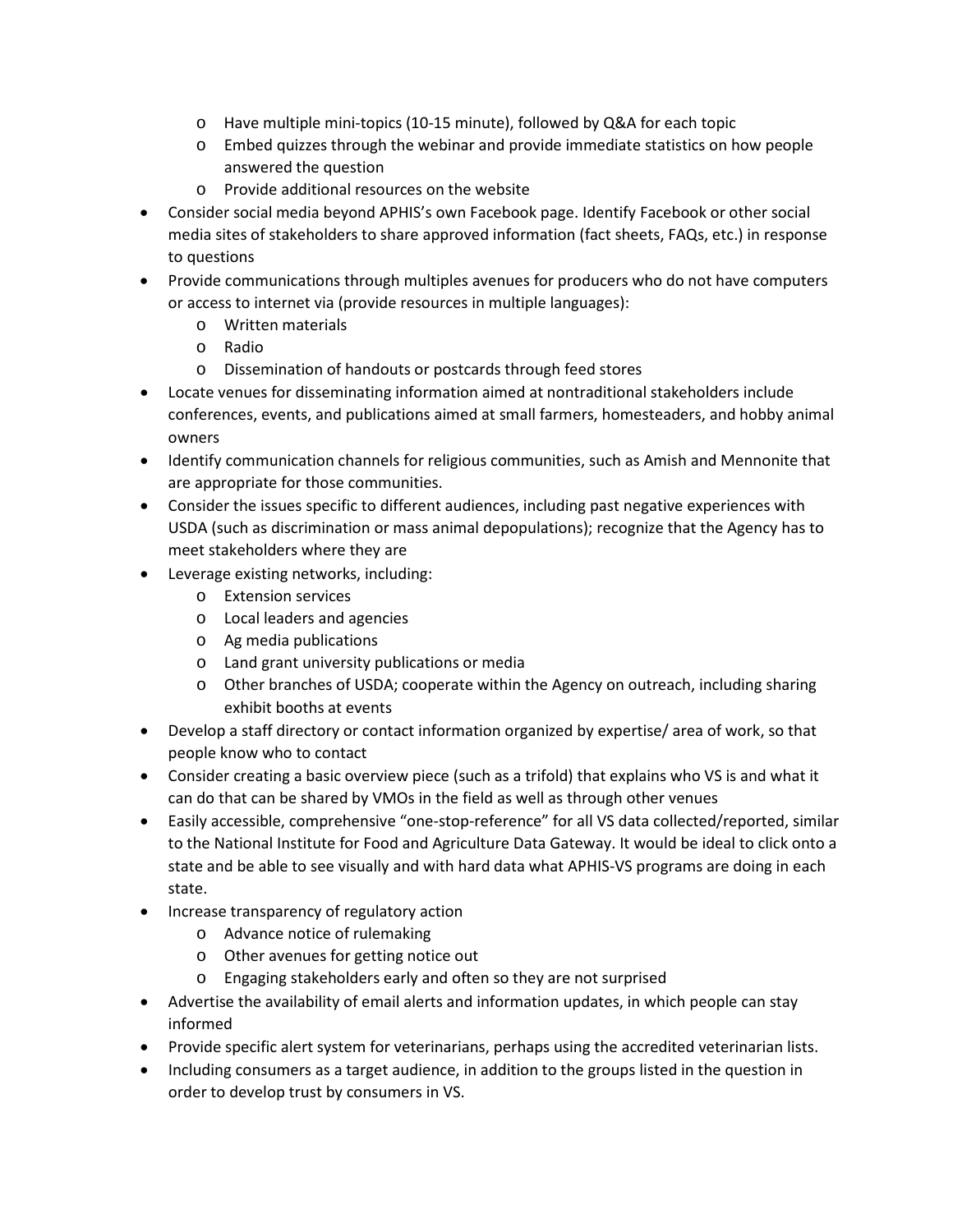- o Have multiple mini-topics (10-15 minute), followed by Q&A for each topic
- o Embed quizzes through the webinar and provide immediate statistics on how people answered the question
- o Provide additional resources on the website
- Consider social media beyond APHIS's own Facebook page. Identify Facebook or other social media sites of stakeholders to share approved information (fact sheets, FAQs, etc.) in response to questions
- Provide communications through multiples avenues for producers who do not have computers or access to internet via (provide resources in multiple languages):
	- o Written materials
	- o Radio
	- o Dissemination of handouts or postcards through feed stores
- Locate venues for disseminating information aimed at nontraditional stakeholders include conferences, events, and publications aimed at small farmers, homesteaders, and hobby animal owners
- Identify communication channels for religious communities, such as Amish and Mennonite that are appropriate for those communities.
- Consider the issues specific to different audiences, including past negative experiences with USDA (such as discrimination or mass animal depopulations); recognize that the Agency has to meet stakeholders where they are
- Leverage existing networks, including:
	- o Extension services
	- o Local leaders and agencies
	- o Ag media publications
	- o Land grant university publications or media
	- o Other branches of USDA; cooperate within the Agency on outreach, including sharing exhibit booths at events
- Develop a staff directory or contact information organized by expertise/ area of work, so that people know who to contact
- Consider creating a basic overview piece (such as a trifold) that explains who VS is and what it can do that can be shared by VMOs in the field as well as through other venues
- Easily accessible, comprehensive "one-stop-reference" for all VS data collected/reported, similar to the National Institute for Food and Agriculture Data Gateway. It would be ideal to click onto a state and be able to see visually and with hard data what APHIS-VS programs are doing in each state.
- Increase transparency of regulatory action
	- o Advance notice of rulemaking
	- o Other avenues for getting notice out
	- o Engaging stakeholders early and often so they are not surprised
- Advertise the availability of email alerts and information updates, in which people can stay informed
- Provide specific alert system for veterinarians, perhaps using the accredited veterinarian lists.
- Including consumers as a target audience, in addition to the groups listed in the question in order to develop trust by consumers in VS.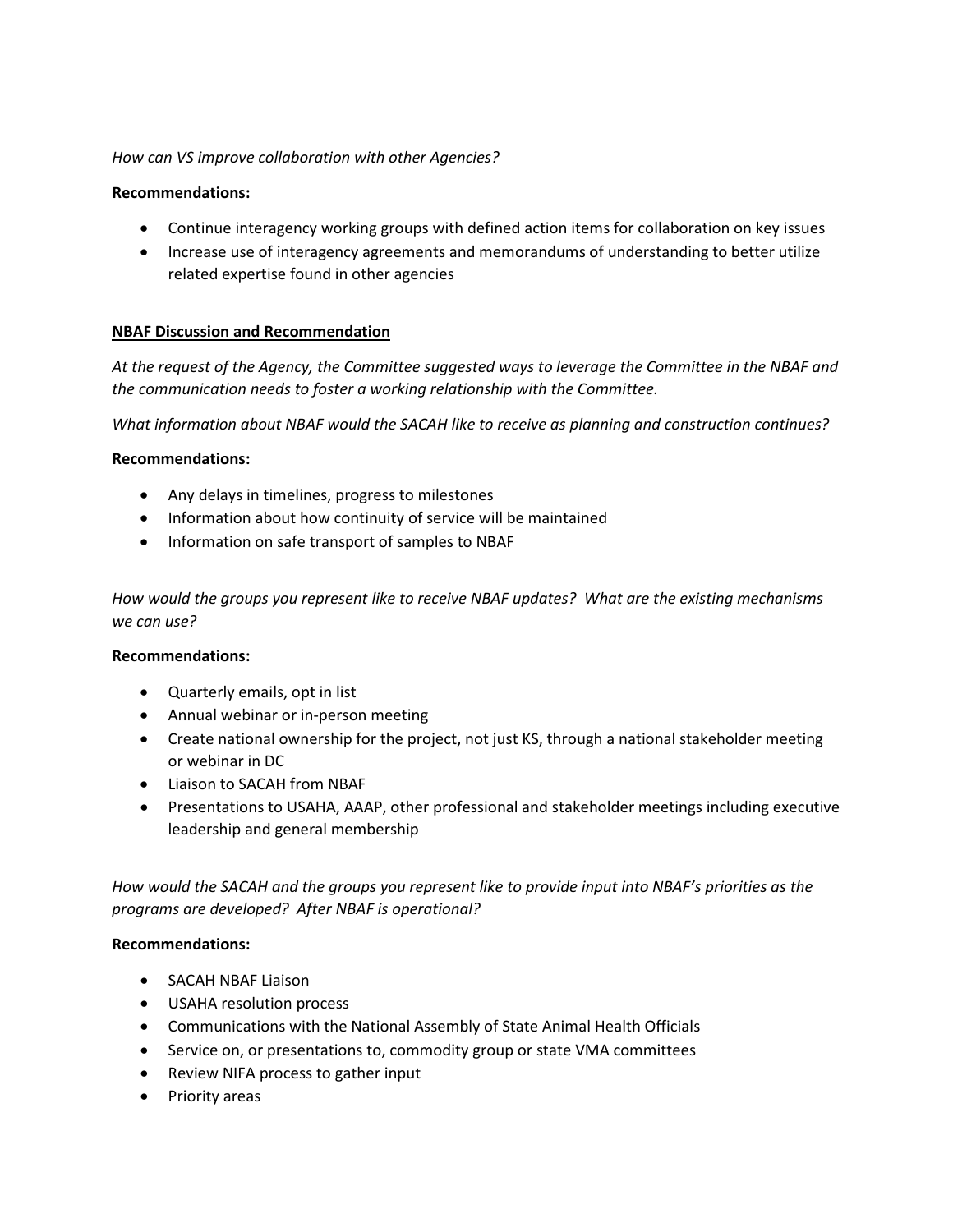## *How can VS improve collaboration with other Agencies?*

## **Recommendations:**

- Continue interagency working groups with defined action items for collaboration on key issues
- Increase use of interagency agreements and memorandums of understanding to better utilize related expertise found in other agencies

### **NBAF Discussion and Recommendation**

*At the request of the Agency, the Committee suggested ways to leverage the Committee in the NBAF and the communication needs to foster a working relationship with the Committee.* 

*What information about NBAF would the SACAH like to receive as planning and construction continues?*

### **Recommendations:**

- Any delays in timelines, progress to milestones
- Information about how continuity of service will be maintained
- Information on safe transport of samples to NBAF

*How would the groups you represent like to receive NBAF updates? What are the existing mechanisms we can use?*

### **Recommendations:**

- Quarterly emails, opt in list
- Annual webinar or in-person meeting
- Create national ownership for the project, not just KS, through a national stakeholder meeting or webinar in DC
- Liaison to SACAH from NBAF
- Presentations to USAHA, AAAP, other professional and stakeholder meetings including executive leadership and general membership

*How would the SACAH and the groups you represent like to provide input into NBAF's priorities as the programs are developed? After NBAF is operational?*

- SACAH NBAF Liaison
- USAHA resolution process
- Communications with the National Assembly of State Animal Health Officials
- Service on, or presentations to, commodity group or state VMA committees
- Review NIFA process to gather input
- Priority areas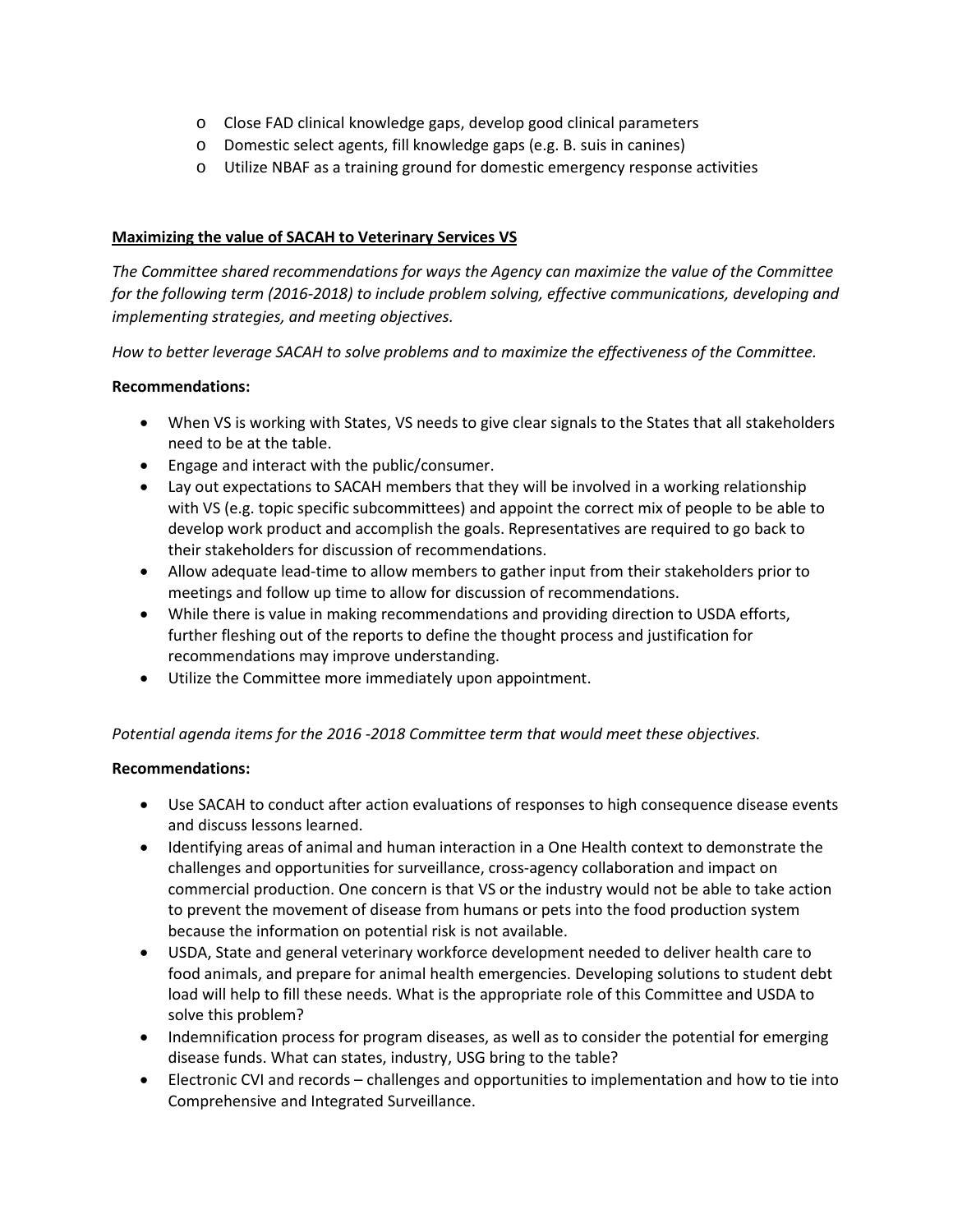- o Close FAD clinical knowledge gaps, develop good clinical parameters
- o Domestic select agents, fill knowledge gaps (e.g. B. suis in canines)
- o Utilize NBAF as a training ground for domestic emergency response activities

## **Maximizing the value of SACAH to Veterinary Services VS**

*The Committee shared recommendations for ways the Agency can maximize the value of the Committee for the following term (2016-2018) to include problem solving, effective communications, developing and implementing strategies, and meeting objectives.* 

*How to better leverage SACAH to solve problems and to maximize the effectiveness of the Committee.* 

# **Recommendations:**

- When VS is working with States, VS needs to give clear signals to the States that all stakeholders need to be at the table.
- Engage and interact with the public/consumer.
- Lay out expectations to SACAH members that they will be involved in a working relationship with VS (e.g. topic specific subcommittees) and appoint the correct mix of people to be able to develop work product and accomplish the goals. Representatives are required to go back to their stakeholders for discussion of recommendations.
- Allow adequate lead-time to allow members to gather input from their stakeholders prior to meetings and follow up time to allow for discussion of recommendations.
- While there is value in making recommendations and providing direction to USDA efforts, further fleshing out of the reports to define the thought process and justification for recommendations may improve understanding.
- Utilize the Committee more immediately upon appointment.

### *Potential agenda items for the 2016 -2018 Committee term that would meet these objectives.*

- Use SACAH to conduct after action evaluations of responses to high consequence disease events and discuss lessons learned.
- Identifying areas of animal and human interaction in a One Health context to demonstrate the challenges and opportunities for surveillance, cross-agency collaboration and impact on commercial production. One concern is that VS or the industry would not be able to take action to prevent the movement of disease from humans or pets into the food production system because the information on potential risk is not available.
- USDA, State and general veterinary workforce development needed to deliver health care to food animals, and prepare for animal health emergencies. Developing solutions to student debt load will help to fill these needs. What is the appropriate role of this Committee and USDA to solve this problem?
- Indemnification process for program diseases, as well as to consider the potential for emerging disease funds. What can states, industry, USG bring to the table?
- Electronic CVI and records challenges and opportunities to implementation and how to tie into Comprehensive and Integrated Surveillance.